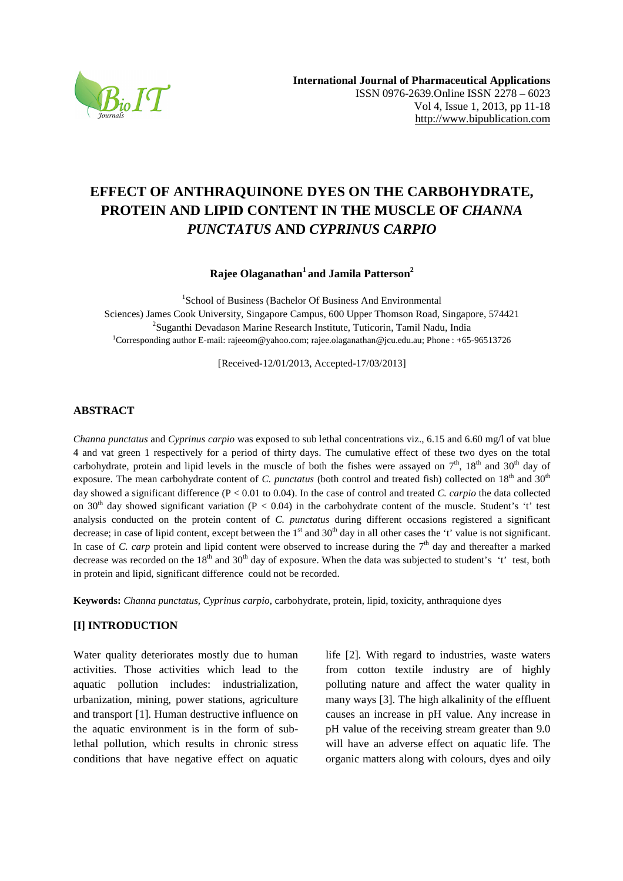

# **EFFECT OF ANTHRAQUINONE DYES ON THE CARBOHYDRATE, PROTEIN AND LIPID CONTENT IN THE MUSCLE OF** *CHANNA PUNCTATUS* **AND** *CYPRINUS CARPIO*

**Rajee Olaganathan<sup>1</sup>and Jamila Patterson<sup>2</sup>**

1 School of Business (Bachelor Of Business And Environmental Sciences) James Cook University, Singapore Campus, 600 Upper Thomson Road, Singapore, 574421 <sup>2</sup>Suganthi Devadason Marine Research Institute, Tuticorin, Tamil Nadu, India <sup>1</sup>Corresponding author E-mail: rajeeom@yahoo.com; rajee.olaganathan@jcu.edu.au; Phone : +65-96513726

[Received-12/01/2013, Accepted-17/03/2013]

## **ABSTRACT**

*Channa punctatus* and *Cyprinus carpio* was exposed to sub lethal concentrations viz., 6.15 and 6.60 mg/l of vat blue 4 and vat green 1 respectively for a period of thirty days. The cumulative effect of these two dyes on the total carbohydrate, protein and lipid levels in the muscle of both the fishes were assayed on  $7<sup>th</sup>$ ,  $18<sup>th</sup>$  and  $30<sup>th</sup>$  day of exposure. The mean carbohydrate content of *C. punctatus* (both control and treated fish) collected on 18<sup>th</sup> and 30<sup>th</sup> day showed a significant difference (P < 0.01 to 0.04). In the case of control and treated *C. carpio* the data collected on 30<sup>th</sup> day showed significant variation (P < 0.04) in the carbohydrate content of the muscle. Student's 't' test analysis conducted on the protein content of *C. punctatus* during different occasions registered a significant decrease; in case of lipid content, except between the  $1<sup>st</sup>$  and  $30<sup>th</sup>$  day in all other cases the 't' value is not significant. In case of *C. carp* protein and lipid content were observed to increase during the  $7<sup>th</sup>$  day and thereafter a marked decrease was recorded on the  $18<sup>th</sup>$  and  $30<sup>th</sup>$  day of exposure. When the data was subjected to student's 't' test, both in protein and lipid, significant difference could not be recorded.

**Keywords:** *Channa punctatus, Cyprinus carpio*, carbohydrate, protein, lipid, toxicity, anthraquione dyes

# **[I] INTRODUCTION**

Water quality deteriorates mostly due to human activities. Those activities which lead to the aquatic pollution includes: industrialization, urbanization, mining, power stations, agriculture and transport [1]. Human destructive influence on the aquatic environment is in the form of sublethal pollution, which results in chronic stress conditions that have negative effect on aquatic life [2]. With regard to industries, waste waters from cotton textile industry are of highly polluting nature and affect the water quality in many ways [3]. The high alkalinity of the effluent causes an increase in pH value. Any increase in pH value of the receiving stream greater than 9.0 will have an adverse effect on aquatic life. The organic matters along with colours, dyes and oily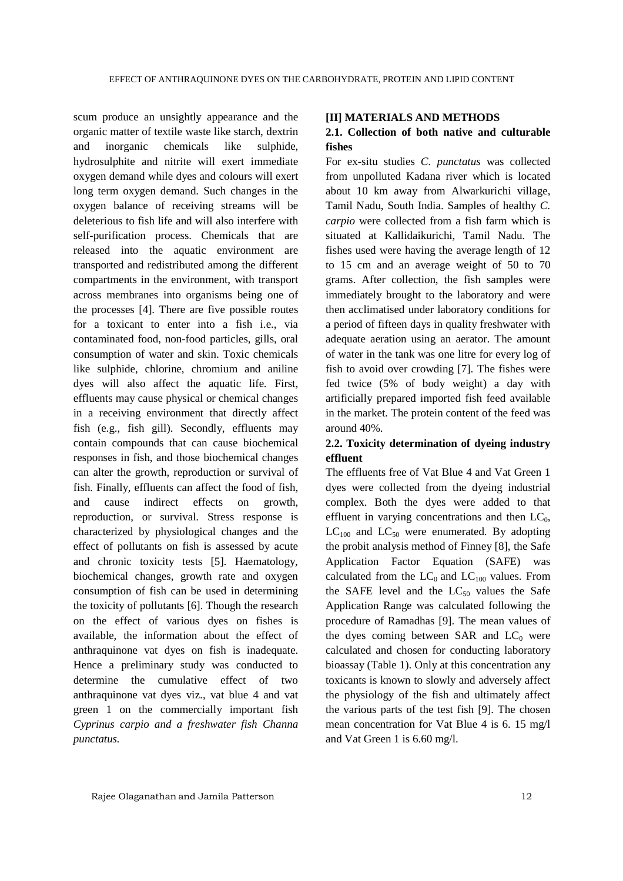scum produce an unsightly appearance and the organic matter of textile waste like starch, dextrin and inorganic chemicals like sulphide, hydrosulphite and nitrite will exert immediate oxygen demand while dyes and colours will exert long term oxygen demand. Such changes in the oxygen balance of receiving streams will be deleterious to fish life and will also interfere with self-purification process. Chemicals that are released into the aquatic environment are transported and redistributed among the different compartments in the environment, with transport across membranes into organisms being one of the processes [4]. There are five possible routes for a toxicant to enter into a fish i.e., via contaminated food, non-food particles, gills, oral consumption of water and skin. Toxic chemicals like sulphide, chlorine, chromium and aniline dyes will also affect the aquatic life. First, effluents may cause physical or chemical changes in a receiving environment that directly affect fish (e.g., fish gill). Secondly, effluents may contain compounds that can cause biochemical responses in fish, and those biochemical changes can alter the growth, reproduction or survival of fish. Finally, effluents can affect the food of fish, and cause indirect effects on growth, reproduction, or survival. Stress response is characterized by physiological changes and the effect of pollutants on fish is assessed by acute and chronic toxicity tests [5]. Haematology, biochemical changes, growth rate and oxygen consumption of fish can be used in determining the toxicity of pollutants [6]. Though the research on the effect of various dyes on fishes is available, the information about the effect of anthraquinone vat dyes on fish is inadequate. Hence a preliminary study was conducted to determine the cumulative effect of two anthraquinone vat dyes viz., vat blue 4 and vat green 1 on the commercially important fish *Cyprinus carpio and a freshwater fish Channa punctatus.*

#### **[II] MATERIALS AND METHODS**

# **2.1. Collection of both native and culturable fishes**

For ex-situ studies *C. punctatus* was collected from unpolluted Kadana river which is located about 10 km away from Alwarkurichi village, Tamil Nadu, South India. Samples of healthy *C. carpio* were collected from a fish farm which is situated at Kallidaikurichi, Tamil Nadu. The fishes used were having the average length of 12 to 15 cm and an average weight of 50 to 70 grams. After collection, the fish samples were immediately brought to the laboratory and were then acclimatised under laboratory conditions for a period of fifteen days in quality freshwater with adequate aeration using an aerator. The amount of water in the tank was one litre for every log of fish to avoid over crowding [7]. The fishes were fed twice (5% of body weight) a day with artificially prepared imported fish feed available in the market. The protein content of the feed was around 40%.

# **2.2. Toxicity determination of dyeing industry effluent**

The effluents free of Vat Blue 4 and Vat Green 1 dyes were collected from the dyeing industrial complex. Both the dyes were added to that effluent in varying concentrations and then  $LC_0$ ,  $LC_{100}$  and  $LC_{50}$  were enumerated. By adopting the probit analysis method of Finney [8], the Safe Application Factor Equation (SAFE) was calculated from the  $LC_0$  and  $LC_{100}$  values. From the SAFE level and the  $LC_{50}$  values the Safe Application Range was calculated following the procedure of Ramadhas [9]. The mean values of the dyes coming between SAR and  $LC_0$  were calculated and chosen for conducting laboratory bioassay (Table 1). Only at this concentration any toxicants is known to slowly and adversely affect the physiology of the fish and ultimately affect the various parts of the test fish [9]. The chosen mean concentration for Vat Blue 4 is 6. 15 mg/l and Vat Green 1 is 6.60 mg/l.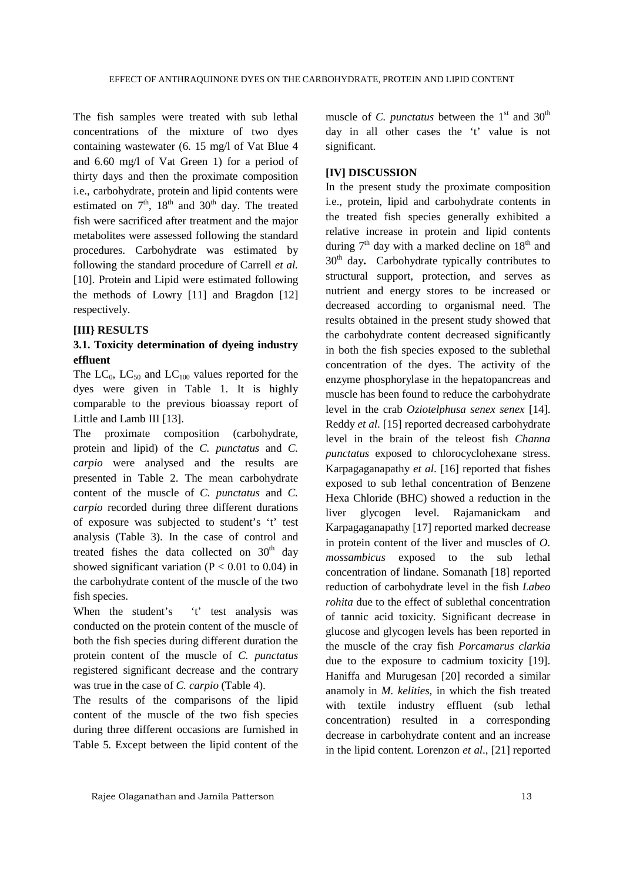The fish samples were treated with sub lethal concentrations of the mixture of two dyes containing wastewater (6. 15 mg/l of Vat Blue 4 and 6.60 mg/l of Vat Green 1) for a period of thirty days and then the proximate composition i.e., carbohydrate, protein and lipid contents were estimated on  $7<sup>th</sup>$ ,  $18<sup>th</sup>$  and  $30<sup>th</sup>$  day. The treated fish were sacrificed after treatment and the major metabolites were assessed following the standard procedures. Carbohydrate was estimated by following the standard procedure of Carrell *et al.* [10]. Protein and Lipid were estimated following the methods of Lowry [11] and Bragdon [12] respectively.

### **[III} RESULTS**

# **3.1. Toxicity determination of dyeing industry effluent**

The  $LC_{0}$ ,  $LC_{50}$  and  $LC_{100}$  values reported for the dyes were given in Table 1. It is highly comparable to the previous bioassay report of Little and Lamb III [13].

The proximate composition (carbohydrate, protein and lipid) of the *C. punctatus* and *C. carpio* were analysed and the results are presented in Table 2. The mean carbohydrate content of the muscle of *C. punctatus* and *C. carpio* recorded during three different durations of exposure was subjected to student's 't' test analysis (Table 3). In the case of control and treated fishes the data collected on  $30<sup>th</sup>$  day showed significant variation ( $P < 0.01$  to 0.04) in the carbohydrate content of the muscle of the two fish species.

When the student's 't' test analysis was conducted on the protein content of the muscle of both the fish species during different duration the protein content of the muscle of *C. punctatus*  registered significant decrease and the contrary was true in the case of *C. carpio* (Table 4).

The results of the comparisons of the lipid content of the muscle of the two fish species during three different occasions are furnished in Table 5. Except between the lipid content of the

muscle of *C. punctatus* between the 1<sup>st</sup> and 30<sup>th</sup> day in all other cases the 't' value is not significant.

### **[IV] DISCUSSION**

In the present study the proximate composition i.e., protein, lipid and carbohydrate contents in the treated fish species generally exhibited a relative increase in protein and lipid contents during  $7<sup>th</sup>$  day with a marked decline on  $18<sup>th</sup>$  and 30th day**.** Carbohydrate typically contributes to structural support, protection, and serves as nutrient and energy stores to be increased or decreased according to organismal need. The results obtained in the present study showed that the carbohydrate content decreased significantly in both the fish species exposed to the sublethal concentration of the dyes. The activity of the enzyme phosphorylase in the hepatopancreas and muscle has been found to reduce the carbohydrate level in the crab *Oziotelphusa senex senex* [14]. Reddy *et al*. [15] reported decreased carbohydrate level in the brain of the teleost fish *Channa punctatus* exposed to chlorocyclohexane stress. Karpagaganapathy *et al*. [16] reported that fishes exposed to sub lethal concentration of Benzene Hexa Chloride (BHC) showed a reduction in the liver glycogen level. Rajamanickam and Karpagaganapathy [17] reported marked decrease in protein content of the liver and muscles of *O. mossambicus* exposed to the sub lethal concentration of lindane. Somanath [18] reported reduction of carbohydrate level in the fish *Labeo rohita* due to the effect of sublethal concentration of tannic acid toxicity. Significant decrease in glucose and glycogen levels has been reported in the muscle of the cray fish *Porcamarus clarkia* due to the exposure to cadmium toxicity [19]. Haniffa and Murugesan [20] recorded a similar anamoly in *M. kelities*, in which the fish treated with textile industry effluent (sub lethal concentration) resulted in a corresponding decrease in carbohydrate content and an increase in the lipid content. Lorenzon *et al*., [21] reported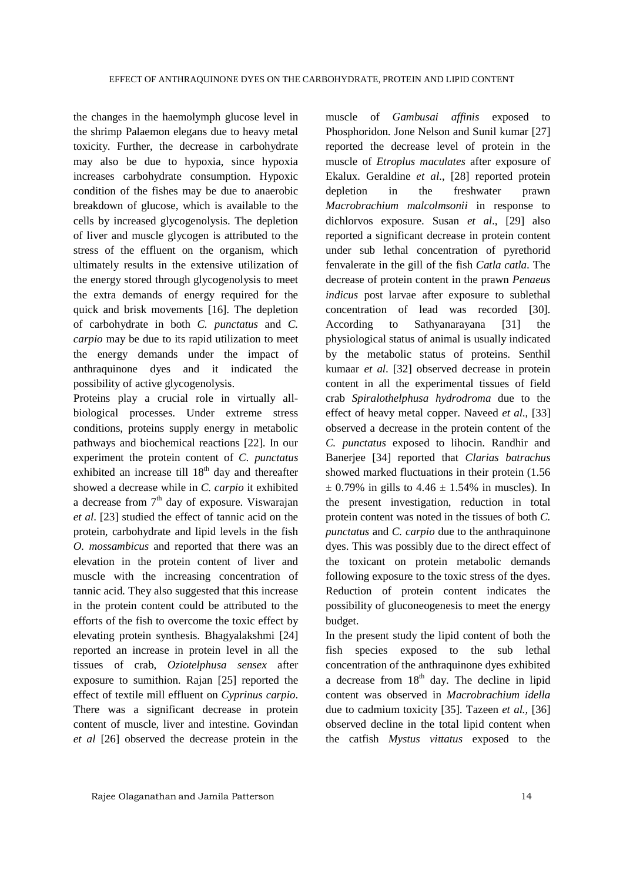the changes in the haemolymph glucose level in the shrimp Palaemon elegans due to heavy metal toxicity. Further, the decrease in carbohydrate may also be due to hypoxia, since hypoxia increases carbohydrate consumption. Hypoxic condition of the fishes may be due to anaerobic breakdown of glucose, which is available to the cells by increased glycogenolysis. The depletion of liver and muscle glycogen is attributed to the stress of the effluent on the organism, which ultimately results in the extensive utilization of the energy stored through glycogenolysis to meet the extra demands of energy required for the quick and brisk movements [16]. The depletion of carbohydrate in both *C. punctatus* and *C. carpio* may be due to its rapid utilization to meet the energy demands under the impact of anthraquinone dyes and it indicated the possibility of active glycogenolysis.

Proteins play a crucial role in virtually allbiological processes. Under extreme stress conditions, proteins supply energy in metabolic pathways and biochemical reactions [22]. In our experiment the protein content of *C. punctatus* exhibited an increase till  $18<sup>th</sup>$  day and thereafter showed a decrease while in *C. carpio* it exhibited a decrease from  $7<sup>th</sup>$  day of exposure. Viswarajan *et al*. [23] studied the effect of tannic acid on the protein, carbohydrate and lipid levels in the fish *O. mossambicus* and reported that there was an elevation in the protein content of liver and muscle with the increasing concentration of tannic acid. They also suggested that this increase in the protein content could be attributed to the efforts of the fish to overcome the toxic effect by elevating protein synthesis. Bhagyalakshmi [24] reported an increase in protein level in all the tissues of crab, *Oziotelphusa sensex* after exposure to sumithion. Rajan [25] reported the effect of textile mill effluent on *Cyprinus carpio*. There was a significant decrease in protein content of muscle, liver and intestine. Govindan *et al* [26] observed the decrease protein in the

muscle of *Gambusai affinis* exposed to Phosphoridon. Jone Nelson and Sunil kumar [27] reported the decrease level of protein in the muscle of *Etroplus maculates* after exposure of Ekalux. Geraldine *et al*., [28] reported protein depletion in the freshwater prawn *Macrobrachium malcolmsonii* in response to dichlorvos exposure. Susan *et al*., [29] also reported a significant decrease in protein content under sub lethal concentration of pyrethorid fenvalerate in the gill of the fish *Catla catla*. The decrease of protein content in the prawn *Penaeus indicus* post larvae after exposure to sublethal concentration of lead was recorded [30]. According to Sathyanarayana [31] the physiological status of animal is usually indicated by the metabolic status of proteins. Senthil kumaar *et al*. [32] observed decrease in protein content in all the experimental tissues of field crab *Spiralothelphusa hydrodroma* due to the effect of heavy metal copper. Naveed *et al*., [33] observed a decrease in the protein content of the *C. punctatus* exposed to lihocin. Randhir and Banerjee [34] reported that *Clarias batrachus*  showed marked fluctuations in their protein (1.56  $\pm$  0.79% in gills to 4.46  $\pm$  1.54% in muscles). In the present investigation, reduction in total protein content was noted in the tissues of both *C. punctatus* and *C. carpio* due to the anthraquinone dyes. This was possibly due to the direct effect of the toxicant on protein metabolic demands following exposure to the toxic stress of the dyes. Reduction of protein content indicates the possibility of gluconeogenesis to meet the energy budget.

In the present study the lipid content of both the fish species exposed to the sub lethal concentration of the anthraquinone dyes exhibited a decrease from  $18<sup>th</sup>$  day. The decline in lipid content was observed in *Macrobrachium idella* due to cadmium toxicity [35]. Tazeen *et al.,* [36] observed decline in the total lipid content when the catfish *Mystus vittatus* exposed to the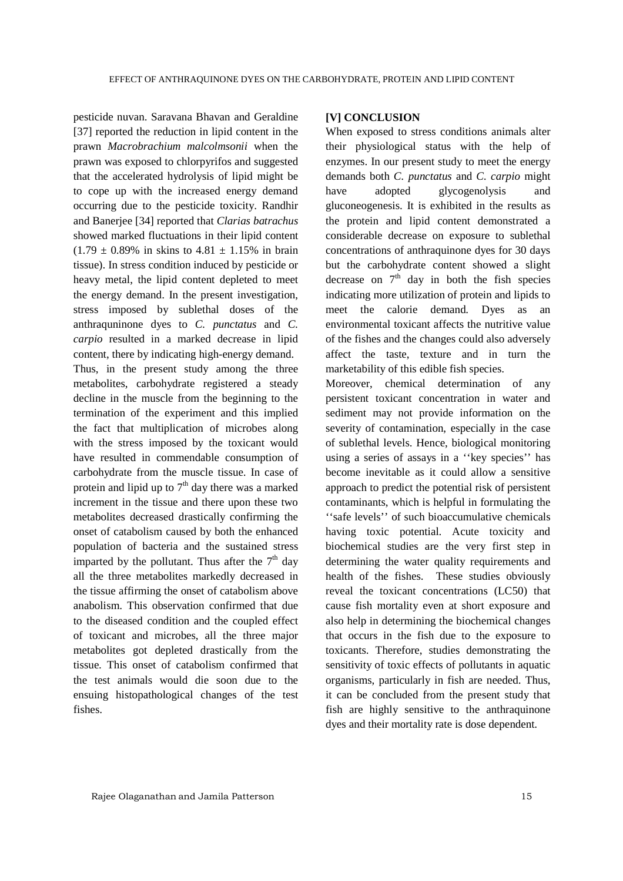pesticide nuvan. Saravana Bhavan and Geraldine [37] reported the reduction in lipid content in the prawn *Macrobrachium malcolmsonii* when the prawn was exposed to chlorpyrifos and suggested that the accelerated hydrolysis of lipid might be to cope up with the increased energy demand occurring due to the pesticide toxicity. Randhir and Banerjee [34] reported that *Clarias batrachus*  showed marked fluctuations in their lipid content  $(1.79 \pm 0.89\%$  in skins to  $4.81 \pm 1.15\%$  in brain tissue). In stress condition induced by pesticide or heavy metal, the lipid content depleted to meet the energy demand. In the present investigation, stress imposed by sublethal doses of the anthraquninone dyes to *C. punctatus* and *C. carpio* resulted in a marked decrease in lipid content, there by indicating high-energy demand. Thus, in the present study among the three metabolites, carbohydrate registered a steady decline in the muscle from the beginning to the termination of the experiment and this implied the fact that multiplication of microbes along with the stress imposed by the toxicant would have resulted in commendable consumption of carbohydrate from the muscle tissue. In case of protein and lipid up to  $7<sup>th</sup>$  day there was a marked increment in the tissue and there upon these two metabolites decreased drastically confirming the onset of catabolism caused by both the enhanced population of bacteria and the sustained stress imparted by the pollutant. Thus after the  $7<sup>th</sup>$  day all the three metabolites markedly decreased in the tissue affirming the onset of catabolism above anabolism. This observation confirmed that due to the diseased condition and the coupled effect of toxicant and microbes, all the three major metabolites got depleted drastically from the tissue. This onset of catabolism confirmed that the test animals would die soon due to the ensuing histopathological changes of the test fishes.

### **[V] CONCLUSION**

When exposed to stress conditions animals alter their physiological status with the help of enzymes. In our present study to meet the energy demands both *C. punctatus* and *C. carpio* might have adopted glycogenolysis and gluconeogenesis. It is exhibited in the results as the protein and lipid content demonstrated a considerable decrease on exposure to sublethal concentrations of anthraquinone dyes for 30 days but the carbohydrate content showed a slight decrease on  $7<sup>th</sup>$  day in both the fish species indicating more utilization of protein and lipids to meet the calorie demand. Dyes as an environmental toxicant affects the nutritive value of the fishes and the changes could also adversely affect the taste, texture and in turn the marketability of this edible fish species.

Moreover, chemical determination of any persistent toxicant concentration in water and sediment may not provide information on the severity of contamination, especially in the case of sublethal levels. Hence, biological monitoring using a series of assays in a ''key species'' has become inevitable as it could allow a sensitive approach to predict the potential risk of persistent contaminants, which is helpful in formulating the ''safe levels'' of such bioaccumulative chemicals having toxic potential. Acute toxicity and biochemical studies are the very first step in determining the water quality requirements and health of the fishes. These studies obviously reveal the toxicant concentrations (LC50) that cause fish mortality even at short exposure and also help in determining the biochemical changes that occurs in the fish due to the exposure to toxicants. Therefore, studies demonstrating the sensitivity of toxic effects of pollutants in aquatic organisms, particularly in fish are needed. Thus, it can be concluded from the present study that fish are highly sensitive to the anthraquinone dyes and their mortality rate is dose dependent.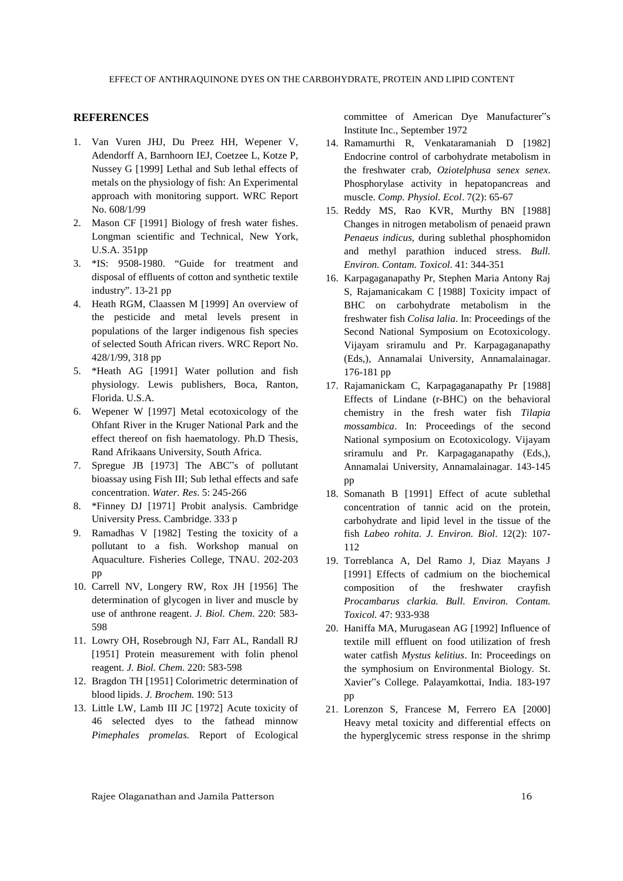#### **REFERENCES**

- 1. Van Vuren JHJ, Du Preez HH, Wepener V, Adendorff A, Barnhoorn IEJ, Coetzee L, Kotze P, Nussey G [1999] Lethal and Sub lethal effects of metals on the physiology of fish: An Experimental approach with monitoring support. WRC Report No. 608/1/99
- 2. Mason CF [1991] Biology of fresh water fishes. Longman scientific and Technical, New York, U.S.A. 351pp
- 3. \*IS: 9508-1980. "Guide for treatment and disposal of effluents of cotton and synthetic textile industry". 13-21 pp
- 4. Heath RGM, Claassen M [1999] An overview of the pesticide and metal levels present in populations of the larger indigenous fish species of selected South African rivers. WRC Report No. 428/1/99, 318 pp
- 5. \*Heath AG [1991] Water pollution and fish physiology. Lewis publishers, Boca, Ranton, Florida. U.S.A.
- 6. Wepener W [1997] Metal ecotoxicology of the Ohfant River in the Kruger National Park and the effect thereof on fish haematology. Ph.D Thesis, Rand Afrikaans University, South Africa.
- 7. Spregue JB [1973] The ABC"s of pollutant bioassay using Fish III; Sub lethal effects and safe concentration. *Water. Res*. 5: 245-266
- 8. \*Finney DJ [1971] Probit analysis. Cambridge University Press. Cambridge. 333 p
- 9. Ramadhas V [1982] Testing the toxicity of a pollutant to a fish. Workshop manual on Aquaculture. Fisheries College, TNAU. 202-203 pp
- 10. Carrell NV, Longery RW, Rox JH [1956] The determination of glycogen in liver and muscle by use of anthrone reagent. *J. Biol. Chem*. 220: 583- 598
- 11. Lowry OH, Rosebrough NJ, Farr AL, Randall RJ [1951] Protein measurement with folin phenol reagent. *J. Biol. Chem*. 220: 583-598
- 12. Bragdon TH [1951] Colorimetric determination of blood lipids. *J. Brochem.* 190: 513
- 13. Little LW, Lamb III JC [1972] Acute toxicity of 46 selected dyes to the fathead minnow *Pimephales promelas.* Report of Ecological

committee of American Dye Manufacturer"s Institute Inc., September 1972

- 14. Ramamurthi R, Venkataramaniah D [1982] Endocrine control of carbohydrate metabolism in the freshwater crab, *Oziotelphusa senex senex*. Phosphorylase activity in hepatopancreas and muscle. *Comp. Physiol. Ecol*. 7(2): 65-67
- 15. Reddy MS, Rao KVR, Murthy BN [1988] Changes in nitrogen metabolism of penaeid prawn *Penaeus indicus*, during sublethal phosphomidon and methyl parathion induced stress. *Bull. Environ. Contam. Toxicol*. 41: 344-351
- 16. Karpagaganapathy Pr, Stephen Maria Antony Raj S, Rajamanicakam C [1988] Toxicity impact of BHC on carbohydrate metabolism in the freshwater fish *Colisa lalia*. In: Proceedings of the Second National Symposium on Ecotoxicology. Vijayam sriramulu and Pr. Karpagaganapathy (Eds,), Annamalai University, Annamalainagar. 176-181 pp
- 17. Rajamanickam C, Karpagaganapathy Pr [1988] Effects of Lindane (r-BHC) on the behavioral chemistry in the fresh water fish *Tilapia mossambica*. In: Proceedings of the second National symposium on Ecotoxicology. Vijayam sriramulu and Pr. Karpagaganapathy (Eds,), Annamalai University, Annamalainagar. 143-145 pp
- 18. Somanath B [1991] Effect of acute sublethal concentration of tannic acid on the protein, carbohydrate and lipid level in the tissue of the fish *Labeo rohita. J. Environ. Biol*. 12(2): 107- 112
- 19. Torreblanca A, Del Ramo J, Diaz Mayans J [1991] Effects of cadmium on the biochemical composition of the freshwater crayfish *Procambarus clarkia. Bull. Environ. Contam. Toxicol.* 47: 933-938
- 20. Haniffa MA, Murugasean AG [1992] Influence of textile mill effluent on food utilization of fresh water catfish *Mystus kelitius*. In: Proceedings on the symphosium on Environmental Biology. St. Xavier"s College. Palayamkottai, India. 183-197 pp
- 21. Lorenzon S, Francese M, Ferrero EA [2000] Heavy metal toxicity and differential effects on the hyperglycemic stress response in the shrimp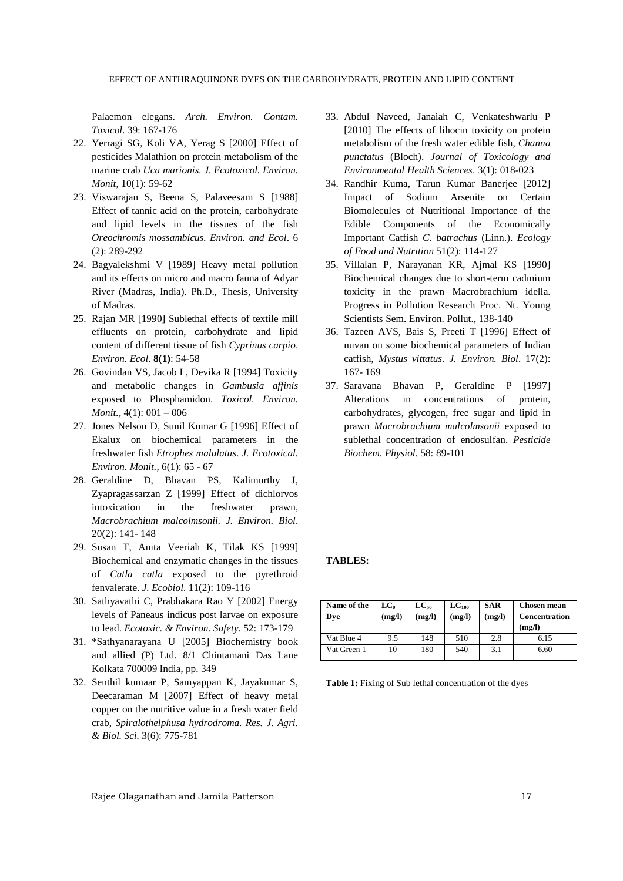Palaemon elegans. *Arch. Environ. Contam. Toxicol*. 39: 167-176

- 22. Yerragi SG, Koli VA, Yerag S [2000] Effect of pesticides Malathion on protein metabolism of the marine crab *Uca marionis. J. Ecotoxicol. Environ. Monit*, 10(1): 59-62
- 23. Viswarajan S, Beena S, Palaveesam S [1988] Effect of tannic acid on the protein, carbohydrate and lipid levels in the tissues of the fish *Oreochromis mossambicus. Environ. and Ecol*. 6 (2): 289-292
- 24. Bagyalekshmi V [1989] Heavy metal pollution and its effects on micro and macro fauna of Adyar River (Madras, India). Ph.D., Thesis, University of Madras.
- 25. Rajan MR [1990] Sublethal effects of textile mill effluents on protein, carbohydrate and lipid content of different tissue of fish *Cyprinus carpio*. *Environ. Ecol*. **8(1)**: 54-58
- 26. Govindan VS, Jacob L, Devika R [1994] Toxicity and metabolic changes in *Gambusia affinis*  exposed to Phosphamidon. *Toxicol. Environ. Monit.,* 4(1): 001 – 006
- 27. Jones Nelson D, Sunil Kumar G [1996] Effect of Ekalux on biochemical parameters in the freshwater fish *Etrophes malulatus*. *J. Ecotoxical. Environ. Monit.,* 6(1): 65 - 67
- 28. Geraldine D, Bhavan PS, Kalimurthy J, Zyapragassarzan Z [1999] Effect of dichlorvos intoxication in the freshwater prawn, *Macrobrachium malcolmsonii. J. Environ. Biol*. 20(2): 141- 148
- 29. Susan T, Anita Veeriah K, Tilak KS [1999] Biochemical and enzymatic changes in the tissues of *Catla catla* exposed to the pyrethroid fenvalerate. *J. Ecobiol*. 11(2): 109-116
- 30. Sathyavathi C, Prabhakara Rao Y [2002] Energy levels of Paneaus indicus post larvae on exposure to lead. *Ecotoxic. & Environ. Safety.* 52: 173-179
- 31. \*Sathyanarayana U [2005] Biochemistry book and allied (P) Ltd. 8/1 Chintamani Das Lane Kolkata 700009 India, pp. 349
- 32. Senthil kumaar P, Samyappan K, Jayakumar S, Deecaraman M [2007] Effect of heavy metal copper on the nutritive value in a fresh water field crab, *Spiralothelphusa hydrodroma*. *Res. J. Agri. & Biol. Sci.* 3(6): 775-781
- 33. Abdul Naveed, Janaiah C, Venkateshwarlu P [2010] The effects of lihocin toxicity on protein metabolism of the fresh water edible fish, *Channa punctatus* (Bloch). *Journal of Toxicology and Environmental Health Sciences*. 3(1): 018-023
- 34. Randhir Kuma, Tarun Kumar Banerjee [2012] Impact of Sodium Arsenite on Certain Biomolecules of Nutritional Importance of the Edible Components of the Economically Important Catfish *C. batrachus* (Linn.). *Ecology of Food and Nutrition* 51(2): 114-127
- 35. Villalan P, Narayanan KR, Ajmal KS [1990] Biochemical changes due to short-term cadmium toxicity in the prawn Macrobrachium idella. Progress in Pollution Research Proc. Nt. Young Scientists Sem. Environ. Pollut., 138-140
- 36. Tazeen AVS, Bais S, Preeti T [1996] Effect of nuvan on some biochemical parameters of Indian catfish, *Mystus vittatus. J. Environ. Biol*. 17(2): 167- 169
- 37. Saravana Bhavan P, Geraldine P [1997] Alterations in concentrations of protein, carbohydrates, glycogen, free sugar and lipid in prawn *Macrobrachium malcolmsonii* exposed to sublethal concentration of endosulfan. *Pesticide Biochem. Physiol*. 58: 89-101

#### **TABLES:**

| Name of the<br>Dve | $LC_0$<br>(mg/l) | $LC_{50}$<br>(mg/l) | $LC_{100}$<br>(mg/l) | <b>SAR</b><br>(mg/l) | <b>Chosen mean</b><br><b>Concentration</b><br>(mg/l) |
|--------------------|------------------|---------------------|----------------------|----------------------|------------------------------------------------------|
| Vat Blue 4         | 9.5              | 148                 | 510                  | 2.8                  | 6.15                                                 |
| Vat Green 1        | 10               | 180                 | 540                  | 3.1                  | 6.60                                                 |

Table 1: Fixing of Sub lethal concentration of the dyes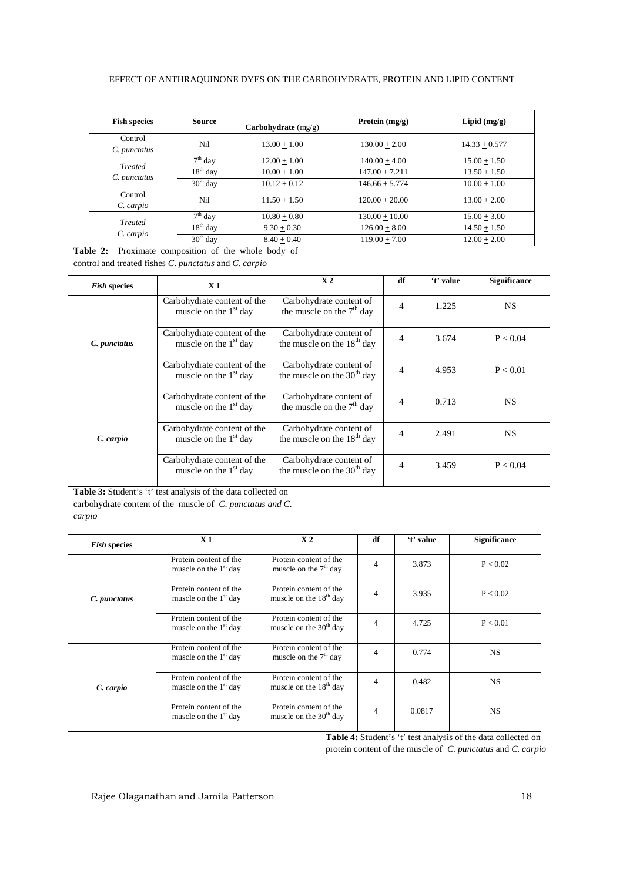#### EFFECT OF ANTHRAQUINONE DYES ON THE CARBOHYDRATE, PROTEIN AND LIPID CONTENT

| <b>Fish species</b>            | <b>Source</b> | Carbohydrate $(mg/g)$ | Protein $(mg/g)$ | Lipid $(mg/g)$  |
|--------------------------------|---------------|-----------------------|------------------|-----------------|
| Control<br>C. punctatus        | Nil           | $13.00 + 1.00$        | $130.00 + 2.00$  | $14.33 + 0.577$ |
| <b>Treated</b><br>C. punctatus | $7th$ day     | $12.00 + 1.00$        | $140.00 + 4.00$  | $15.00 + 1.50$  |
|                                | $18th$ day    | $10.00 + 1.00$        | $147.00 + 7.211$ | $13.50 + 1.50$  |
|                                | $30th$ day    | $10.12 + 0.12$        | $146.66 + 5.774$ | $10.00 + 1.00$  |
| Control<br>C. carpio           | Nil           | $11.50 + 1.50$        | $120.00 + 20.00$ | $13.00 + 2.00$  |
| <b>Treated</b><br>C. carpio    | $7th$ day     | $10.80 + 0.80$        | $130.00 + 10.00$ | $15.00 + 3.00$  |
|                                | $18th$ day    | $9.30 + 0.30$         | $126.00 + 8.00$  | $14.50 + 1.50$  |
|                                | $30th$ day    | $8.40 + 0.40$         | $119.00 + 7.00$  | $12.00 + 2.00$  |

**Table 2:** Proximate composition of the whole body of control and treated fishes *C. punctatus* and *C. carpio* 

| <i>Fish</i> species | X <sub>1</sub>                                         | X <sub>2</sub>                                          | df | 't' value | <b>Significance</b> |
|---------------------|--------------------------------------------------------|---------------------------------------------------------|----|-----------|---------------------|
| C. punctatus        | Carbohydrate content of the<br>muscle on the $1st$ day | Carbohydrate content of<br>the muscle on the $7th$ day  | 4  | 1.225     | <b>NS</b>           |
|                     | Carbohydrate content of the<br>muscle on the $1st$ day | Carbohydrate content of<br>the muscle on the $18th$ day | 4  | 3.674     | P < 0.04            |
|                     | Carbohydrate content of the<br>muscle on the $1st$ day | Carbohydrate content of<br>the muscle on the $30th$ day | 4  | 4.953     | P < 0.01            |
| C. carpio           | Carbohydrate content of the<br>muscle on the $1st$ day | Carbohydrate content of<br>the muscle on the $7th$ day  | 4  | 0.713     | <b>NS</b>           |
|                     | Carbohydrate content of the<br>muscle on the $1st$ day | Carbohydrate content of<br>the muscle on the $18th$ day | 4  | 2.491     | <b>NS</b>           |
|                     | Carbohydrate content of the<br>muscle on the $1st$ day | Carbohydrate content of<br>the muscle on the $30th$ day | 4  | 3.459     | P < 0.04            |

**Table 3:** Student's 't' test analysis of the data collected on carbohydrate content of the muscle of *C. punctatus and C. carpio* 

| <b>Fish species</b> | X <sub>1</sub>                                    | X <sub>2</sub>                                               | df | 't' value | <b>Significance</b> |
|---------------------|---------------------------------------------------|--------------------------------------------------------------|----|-----------|---------------------|
|                     | Protein content of the<br>muscle on the $1st$ day | Protein content of the<br>muscle on the $7th$ day            | 4  | 3.873     | P < 0.02            |
| C. punctatus        | Protein content of the<br>muscle on the $1st$ day | Protein content of the<br>muscle on the $18th$ day           | 4  | 3.935     | P < 0.02            |
|                     | Protein content of the<br>muscle on the $1st$ day | Protein content of the<br>muscle on the 30 <sup>th</sup> day | 4  | 4.725     | P < 0.01            |
|                     | Protein content of the<br>muscle on the $1st$ day | Protein content of the<br>muscle on the $7th$ day            | 4  | 0.774     | <b>NS</b>           |
| C. carpio           | Protein content of the<br>muscle on the $1st$ day | Protein content of the<br>muscle on the 18 <sup>th</sup> day | 4  | 0.482     | <b>NS</b>           |
|                     | Protein content of the<br>muscle on the $1st$ day | Protein content of the<br>muscle on the $30th$ day           | 4  | 0.0817    | <b>NS</b>           |

**Table 4:** Student's 't' test analysis of the data collected on protein content of the muscle of *C. punctatus* and *C. carpio*